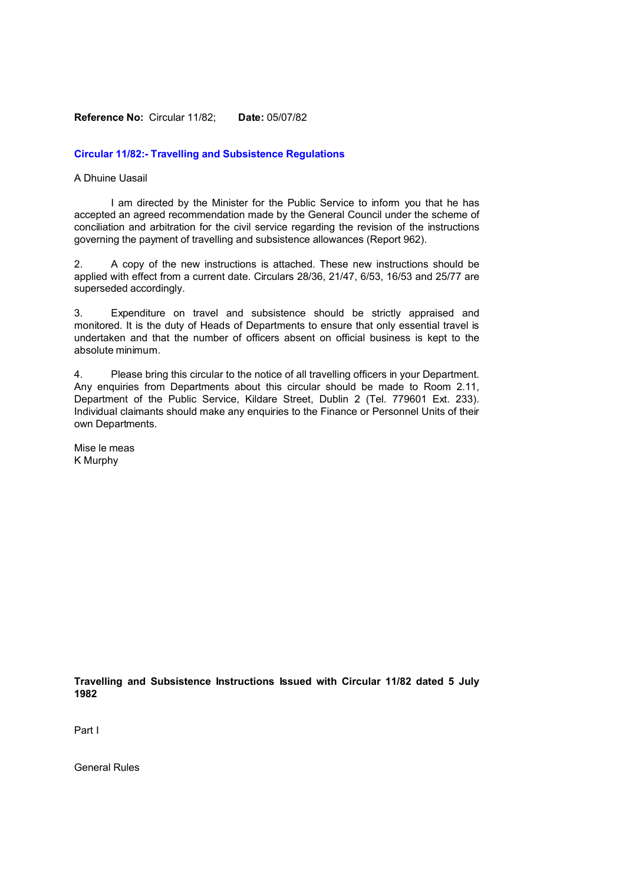### **Reference No:** Circular 11/82; **Date:** 05/07/82

### **Circular 11/82:- Travelling and Subsistence Regulations**

## A Dhuine Uasail

I am directed by the Minister for the Public Service to inform you that he has accepted an agreed recommendation made by the General Council under the scheme of conciliation and arbitration for the civil service regarding the revision of the instructions governing the payment of travelling and subsistence allowances (Report 962).

2. A copy of the new instructions is attached. These new instructions should be applied with effect from a current date. Circulars 28/36, 21/47, 6/53, 16/53 and 25/77 are superseded accordingly.

3. Expenditure on travel and subsistence should be strictly appraised and monitored. It is the duty of Heads of Departments to ensure that only essential travel is undertaken and that the number of officers absent on official business is kept to the absolute minimum.

4. Please bring this circular to the notice of all travelling officers in your Department. Any enquiries from Departments about this circular should be made to Room 2.11, Department of the Public Service, Kildare Street, Dublin 2 (Tel. 779601 Ext. 233). Individual claimants should make any enquiries to the Finance or Personnel Units of their own Departments.

Mise le meas K Murphy

**Travelling and Subsistence Instructions Issued with Circular 11/82 dated 5 July 1982**

Part I

General Rules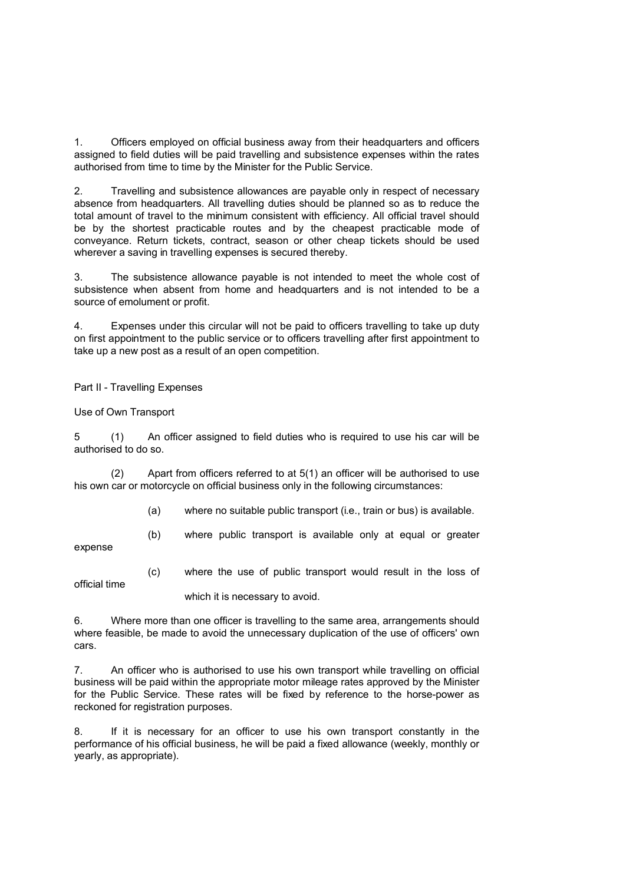1. Officers employed on official business away from their headquarters and officers assigned to field duties will be paid travelling and subsistence expenses within the rates authorised from time to time by the Minister for the Public Service.

2. Travelling and subsistence allowances are payable only in respect of necessary absence from headquarters. All travelling duties should be planned so as to reduce the total amount of travel to the minimum consistent with efficiency. All official travel should be by the shortest practicable routes and by the cheapest practicable mode of conveyance. Return tickets, contract, season or other cheap tickets should be used wherever a saving in travelling expenses is secured thereby.

3. The subsistence allowance payable is not intended to meet the whole cost of subsistence when absent from home and headquarters and is not intended to be a source of emolument or profit.

4. Expenses under this circular will not be paid to officers travelling to take up duty on first appointment to the public service or to officers travelling after first appointment to take up a new post as a result of an open competition.

Part II - Travelling Expenses

Use of Own Transport

5 (1) An officer assigned to field duties who is required to use his car will be authorised to do so.

(2) Apart from officers referred to at 5(1) an officer will be authorised to use his own car or motorcycle on official business only in the following circumstances:

(a) where no suitable public transport (i.e., train or bus) is available.

expense

official time

(b) where public transport is available only at equal or greater

(c) where the use of public transport would result in the loss of

which it is necessary to avoid.

6. Where more than one officer is travelling to the same area, arrangements should where feasible, be made to avoid the unnecessary duplication of the use of officers' own cars.

7. An officer who is authorised to use his own transport while travelling on official business will be paid within the appropriate motor mileage rates approved by the Minister for the Public Service. These rates will be fixed by reference to the horse-power as reckoned for registration purposes.

8. If it is necessary for an officer to use his own transport constantly in the performance of his official business, he will be paid a fixed allowance (weekly, monthly or yearly, as appropriate).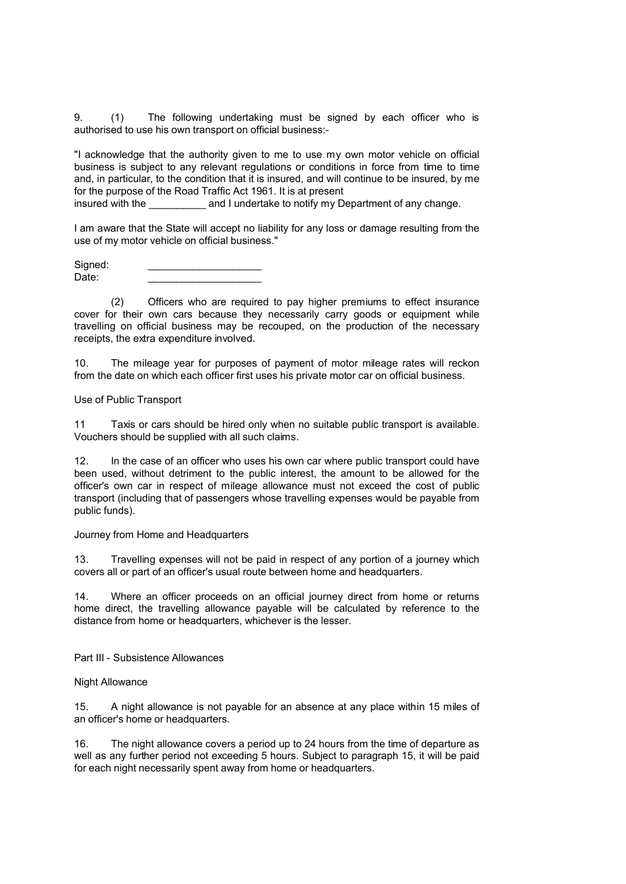9. (1) The following undertaking must be signed by each officer who is authorised to use his own transport on official business:-

"I acknowledge that the authority given to me to use my own motor vehicle on official business is subject to any relevant regulations or conditions in force from time to time and, in particular, to the condition that it is insured, and will continue to be insured, by me for the purpose of the Road Traffic Act 1961. It is at present

insured with the and I undertake to notify my Department of any change.

I am aware that the State will accept no liability for any loss or damage resulting from the use of my motor vehicle on official business."

Signed:  $Date:$ 

(2) Officers who are required to pay higher premiums to effect insurance cover for their own cars because they necessarily carry goods or equipment while travelling on official business may be recouped, on the production of the necessary receipts, the extra expenditure involved.

10. The mileage year for purposes of payment of motor mileage rates will reckon from the date on which each officer first uses his private motor car on official business.

Use of Public Transport

11 Taxis or cars should be hired only when no suitable public transport is available. Vouchers should be supplied with all such claims.

12. In the case of an officer who uses his own car where public transport could have been used, without detriment to the public interest, the amount to be allowed for the officer's own car in respect of mileage allowance must not exceed the cost of public transport (including that of passengers whose travelling expenses would be payable from public funds).

Journey from Home and Headquarters

13. Travelling expenses will not be paid in respect of any portion of a journey which covers all or part of an officer's usual route between home and headquarters.

14. Where an officer proceeds on an official journey direct from home or returns home direct, the travelling allowance payable will be calculated by reference to the distance from home or headquarters, whichever is the lesser.

Part III - Subsistence Allowances

Night Allowance

15. A night allowance is not payable for an absence at any place within 15 miles of an officer's home or headquarters.

16. The night allowance covers a period up to 24 hours from the time of departure as well as any further period not exceeding 5 hours. Subject to paragraph 15, it will be paid for each night necessarily spent away from home or headquarters.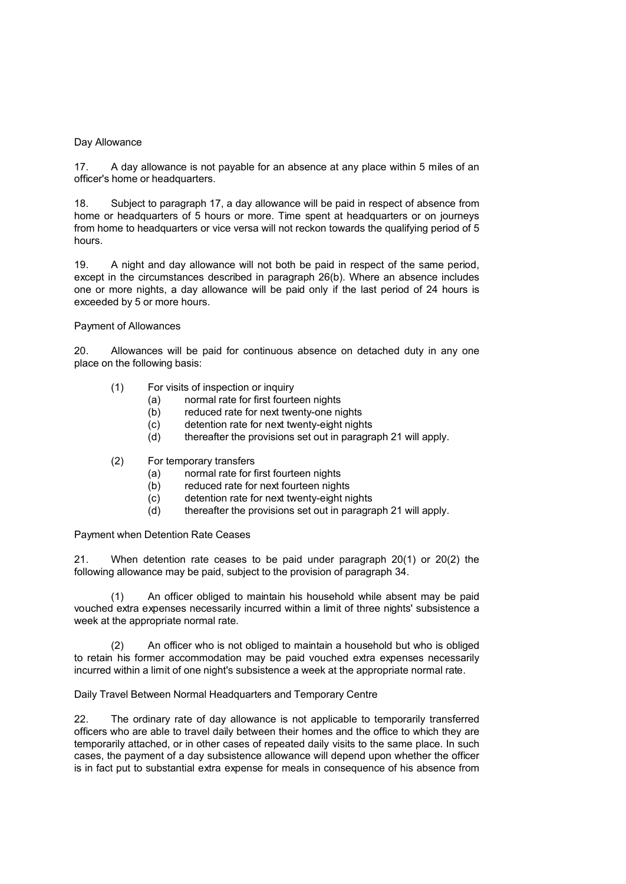## Day Allowance

17. A day allowance is not payable for an absence at any place within 5 miles of an officer's home or headquarters.

18. Subject to paragraph 17, a day allowance will be paid in respect of absence from home or headquarters of 5 hours or more. Time spent at headquarters or on journeys from home to headquarters or vice versa will not reckon towards the qualifying period of 5 hours.

19. A night and day allowance will not both be paid in respect of the same period, except in the circumstances described in paragraph 26(b). Where an absence includes one or more nights, a day allowance will be paid only if the last period of 24 hours is exceeded by 5 or more hours.

#### Payment of Allowances

20. Allowances will be paid for continuous absence on detached duty in any one place on the following basis:

- (1) For visits of inspection or inquiry
	- (a) normal rate for first fourteen nights
	- (b) reduced rate for next twenty-one nights
	- (c) detention rate for next twenty-eight nights
	- (d) thereafter the provisions set out in paragraph 21 will apply.
- (2) For temporary transfers
	- (a) normal rate for first fourteen nights
	- (b) reduced rate for next fourteen nights
	- (c) detention rate for next twenty-eight nights
	- (d) thereafter the provisions set out in paragraph 21 will apply.

Payment when Detention Rate Ceases

21. When detention rate ceases to be paid under paragraph 20(1) or 20(2) the following allowance may be paid, subject to the provision of paragraph 34.

(1) An officer obliged to maintain his household while absent may be paid vouched extra expenses necessarily incurred within a limit of three nights' subsistence a week at the appropriate normal rate.

(2) An officer who is not obliged to maintain a household but who is obliged to retain his former accommodation may be paid vouched extra expenses necessarily incurred within a limit of one night's subsistence a week at the appropriate normal rate.

## Daily Travel Between Normal Headquarters and Temporary Centre

22. The ordinary rate of day allowance is not applicable to temporarily transferred officers who are able to travel daily between their homes and the office to which they are temporarily attached, or in other cases of repeated daily visits to the same place. In such cases, the payment of a day subsistence allowance will depend upon whether the officer is in fact put to substantial extra expense for meals in consequence of his absence from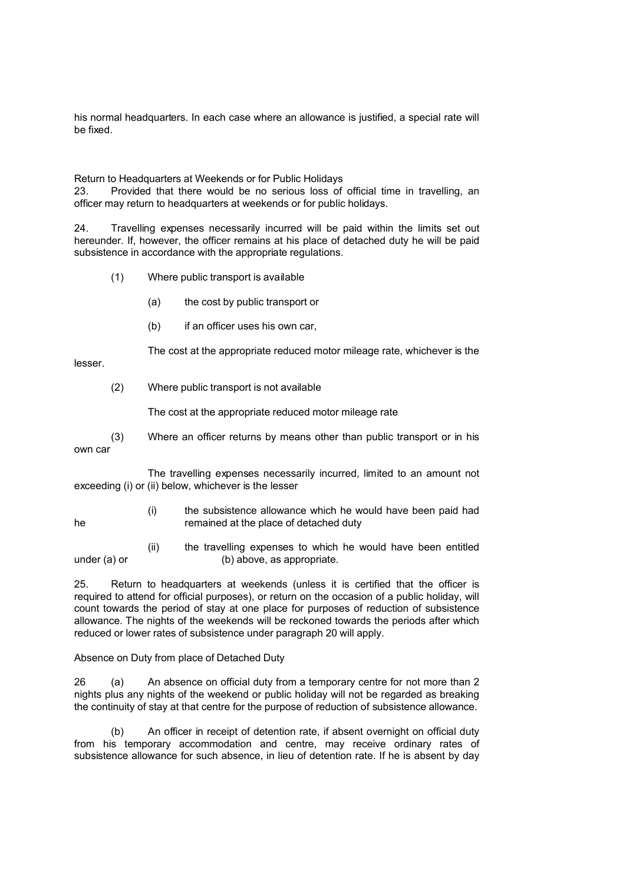his normal headquarters. In each case where an allowance is justified, a special rate will be fixed.

Return to Headquarters at Weekends or for Public Holidays

23. Provided that there would be no serious loss of official time in travelling, an officer may return to headquarters at weekends or for public holidays.

24. Travelling expenses necessarily incurred will be paid within the limits set out hereunder. If, however, the officer remains at his place of detached duty he will be paid subsistence in accordance with the appropriate regulations.

- (1) Where public transport is available
	- (a) the cost by public transport or
	- (b) if an officer uses his own car,

The cost at the appropriate reduced motor mileage rate, whichever is the

lesser.

(2) Where public transport is not available

The cost at the appropriate reduced motor mileage rate

(3) Where an officer returns by means other than public transport or in his own car

The travelling expenses necessarily incurred, limited to an amount not exceeding (i) or (ii) below, whichever is the lesser

- 
- (i) the subsistence allowance which he would have been paid had he remained at the place of detached duty

(ii) the travelling expenses to which he would have been entitled under (a) or (b) above, as appropriate.

25. Return to headquarters at weekends (unless it is certified that the officer is required to attend for official purposes), or return on the occasion of a public holiday, will count towards the period of stay at one place for purposes of reduction of subsistence allowance. The nights of the weekends will be reckoned towards the periods after which reduced or lower rates of subsistence under paragraph 20 will apply.

## Absence on Duty from place of Detached Duty

26 (a) An absence on official duty from a temporary centre for not more than 2 nights plus any nights of the weekend or public holiday will not be regarded as breaking the continuity of stay at that centre for the purpose of reduction of subsistence allowance.

(b) An officer in receipt of detention rate, if absent overnight on official duty from his temporary accommodation and centre, may receive ordinary rates of subsistence allowance for such absence, in lieu of detention rate. If he is absent by day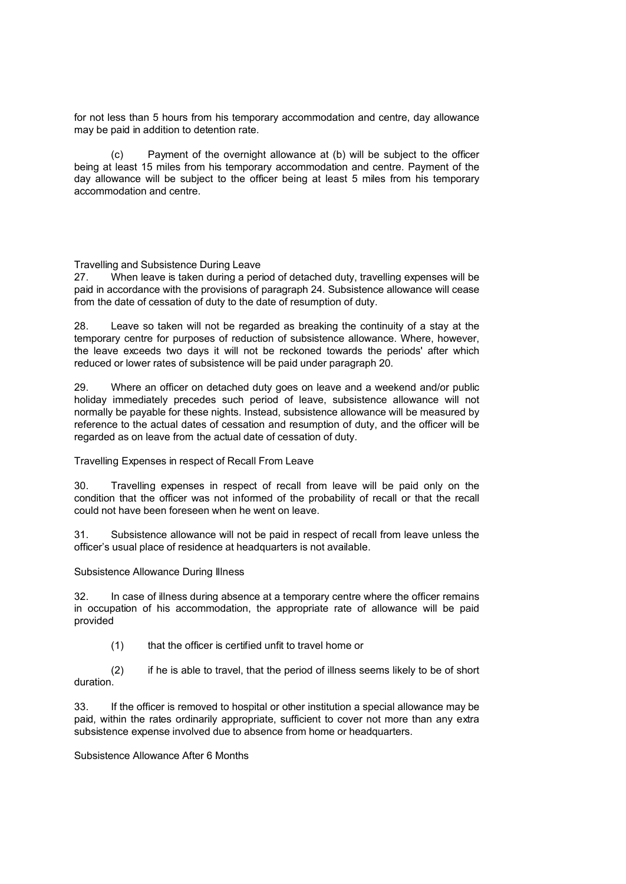for not less than 5 hours from his temporary accommodation and centre, day allowance may be paid in addition to detention rate.

(c) Payment of the overnight allowance at (b) will be subject to the officer being at least 15 miles from his temporary accommodation and centre. Payment of the day allowance will be subject to the officer being at least 5 miles from his temporary accommodation and centre.

Travelling and Subsistence During Leave

27. When leave is taken during a period of detached duty, travelling expenses will be paid in accordance with the provisions of paragraph 24. Subsistence allowance will cease from the date of cessation of duty to the date of resumption of duty.

28. Leave so taken will not be regarded as breaking the continuity of a stay at the temporary centre for purposes of reduction of subsistence allowance. Where, however, the leave exceeds two days it will not be reckoned towards the periods' after which reduced or lower rates of subsistence will be paid under paragraph 20.

29. Where an officer on detached duty goes on leave and a weekend and/or public holiday immediately precedes such period of leave, subsistence allowance will not normally be payable for these nights. Instead, subsistence allowance will be measured by reference to the actual dates of cessation and resumption of duty, and the officer will be regarded as on leave from the actual date of cessation of duty.

Travelling Expenses in respect of Recall From Leave

30. Travelling expenses in respect of recall from leave will be paid only on the condition that the officer was not informed of the probability of recall or that the recall could not have been foreseen when he went on leave.

31. Subsistence allowance will not be paid in respect of recall from leave unless the officer's usual place of residence at headquarters is not available.

Subsistence Allowance During Illness

32. In case of illness during absence at a temporary centre where the officer remains in occupation of his accommodation, the appropriate rate of allowance will be paid provided

(1) that the officer is certified unfit to travel home or

(2) if he is able to travel, that the period of illness seems likely to be of short duration.

33. If the officer is removed to hospital or other institution a special allowance may be paid, within the rates ordinarily appropriate, sufficient to cover not more than any extra subsistence expense involved due to absence from home or headquarters.

Subsistence Allowance After 6 Months